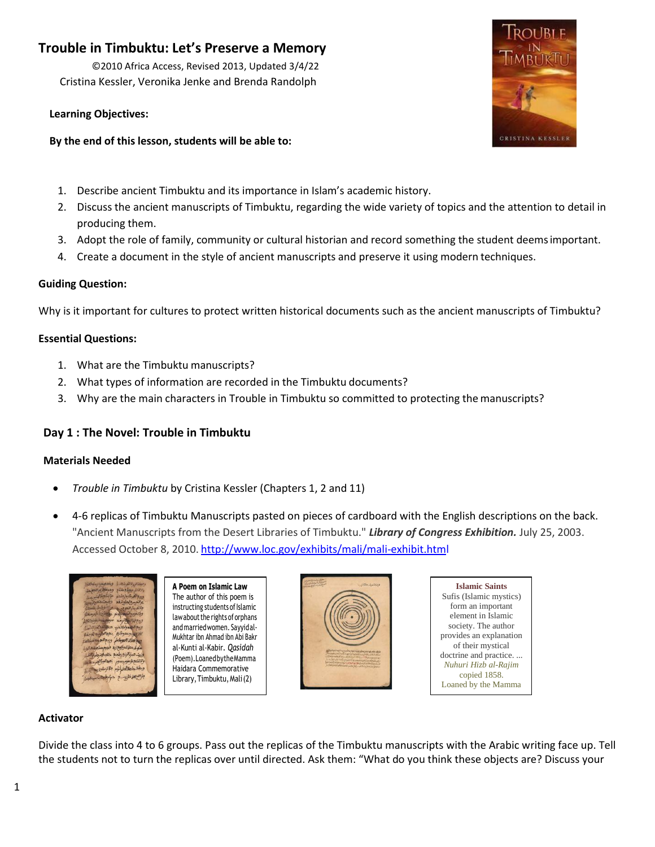# **Trouble in Timbuktu: Let's Preserve a Memory**

©2010 Africa Access, Revised 2013, Updated 3/4/22 Cristina Kessler, Veronika Jenke and Brenda Randolph

# **Learning Objectives:**

# **By the end of this lesson, students will be able to:**

- 
- 1. Describe ancient Timbuktu and its importance in Islam's academic history.
- 2. Discuss the ancient manuscripts of Timbuktu, regarding the wide variety of topics and the attention to detail in producing them.
- 3. Adopt the role of family, community or cultural historian and record something the student deemsimportant.
- 4. Create a document in the style of ancient manuscripts and preserve it using modern techniques.

# **Guiding Question:**

Why is it important for cultures to protect written historical documents such as the ancient manuscripts of Timbuktu?

# **Essential Questions:**

- 1. What are the Timbuktu manuscripts?
- 2. What types of information are recorded in the Timbuktu documents?
- 3. Why are the main characters in Trouble in Timbuktu so committed to protecting the manuscripts?

# **Day 1 : The Novel: Trouble in Timbuktu**

# **Materials Needed**

- *Trouble in Timbuktu* by Cristina Kessler (Chapters 1, 2 and 11)
- 4-6 replicas of Timbuktu Manuscripts pasted on pieces of cardboard with the English descriptions on the back. "Ancient Manuscripts from the Desert Libraries of Timbuktu." *Library of Congress Exhibition.* July 25, 2003. Accessed October 8, 2010. <http://www.loc.gov/exhibits/mali/mali-exhibit.html>

| وصغة الرو لاتفرينها<br><b>Slowing Avenue</b><br>A P<br>والتكتم عجابه هناع<br>ودوستط بم النجم<br>وسوالله بالبواردادة والتذووا لتمس<br>The<br>ع التعسيم لمارونغم<br>phyllophiado<br>inst<br>مراتضر بإجاء بالمستنا<br>وللتفريد التحريب<br>وبالتفوم والمهوم وحش المعصر وتناخيرها<br>law<br>Nopola Horas<br>Shipperson<br>and<br>وسع فيهج والمات مناز الفروالذرالات<br>الخامل وعدوكش بعدالالسوالية<br>Muk<br>تعاطفاته لاتعوطها ويبع البع معشرة المخ<br>al-k<br>سهكمما تموكيع زدة فدوم مساهد الد<br>وريت صرة الزبور ولمعنع خلاب ليدرها الملك<br>(Po<br>ولاتفكع عرصوم يسوم خطط البرازان<br>Hai<br>ويعددا ملايه خؤم والترسليجيدا<br>بالاستخراب ع حرام الحساسية العاما<br>Libr |
|-----------------------------------------------------------------------------------------------------------------------------------------------------------------------------------------------------------------------------------------------------------------------------------------------------------------------------------------------------------------------------------------------------------------------------------------------------------------------------------------------------------------------------------------------------------------------------------------------------------------------------------------------------------------------|
|                                                                                                                                                                                                                                                                                                                                                                                                                                                                                                                                                                                                                                                                       |

**Ooem on Islamic Law** author of this poem is ructing students of Islamic about the rights of orphans Imarried women. Sayyidalhtar ibn Ahmad ibn Abi Bakr al-Kunti al-Kabir*. Qasidah*  (Poem)*.*LoanedbytheMamma dara Commemorative rary, Timbuktu, Mali (2)





# **Activator**

Divide the class into 4 to 6 groups. Pass out the replicas of the Timbuktu manuscripts with the Arabic writing face up. Tell the students not to turn the replicas over until directed. Ask them: "What do you think these objects are? Discuss your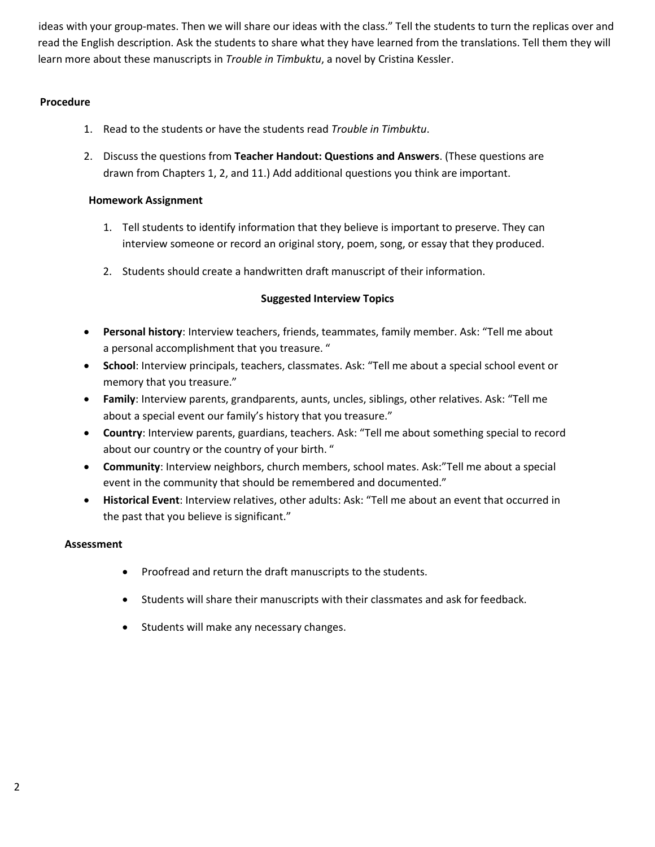ideas with your group-mates. Then we will share our ideas with the class." Tell the students to turn the replicas over and read the English description. Ask the students to share what they have learned from the translations. Tell them they will learn more about these manuscripts in *Trouble in Timbuktu*, a novel by Cristina Kessler.

## **Procedure**

- 1. Read to the students or have the students read *Trouble in Timbuktu*.
- 2. Discuss the questions from **Teacher Handout: Questions and Answers**. (These questions are drawn from Chapters 1, 2, and 11.) Add additional questions you think are important.

## **Homework Assignment**

- 1. Tell students to identify information that they believe is important to preserve. They can interview someone or record an original story, poem, song, or essay that they produced.
- 2. Students should create a handwritten draft manuscript of their information.

# **Suggested Interview Topics**

- **Personal history**: Interview teachers, friends, teammates, family member. Ask: "Tell me about a personal accomplishment that you treasure. "
- **School**: Interview principals, teachers, classmates. Ask: "Tell me about a special school event or memory that you treasure."
- **Family**: Interview parents, grandparents, aunts, uncles, siblings, other relatives. Ask: "Tell me about a special event our family's history that you treasure."
- **Country**: Interview parents, guardians, teachers. Ask: "Tell me about something special to record about our country or the country of your birth. "
- **Community**: Interview neighbors, church members, school mates. Ask:"Tell me about a special event in the community that should be remembered and documented."
- **Historical Event**: Interview relatives, other adults: Ask: "Tell me about an event that occurred in the past that you believe is significant."

# **Assessment**

- Proofread and return the draft manuscripts to the students.
- Students will share their manuscripts with their classmates and ask for feedback.
- Students will make any necessary changes.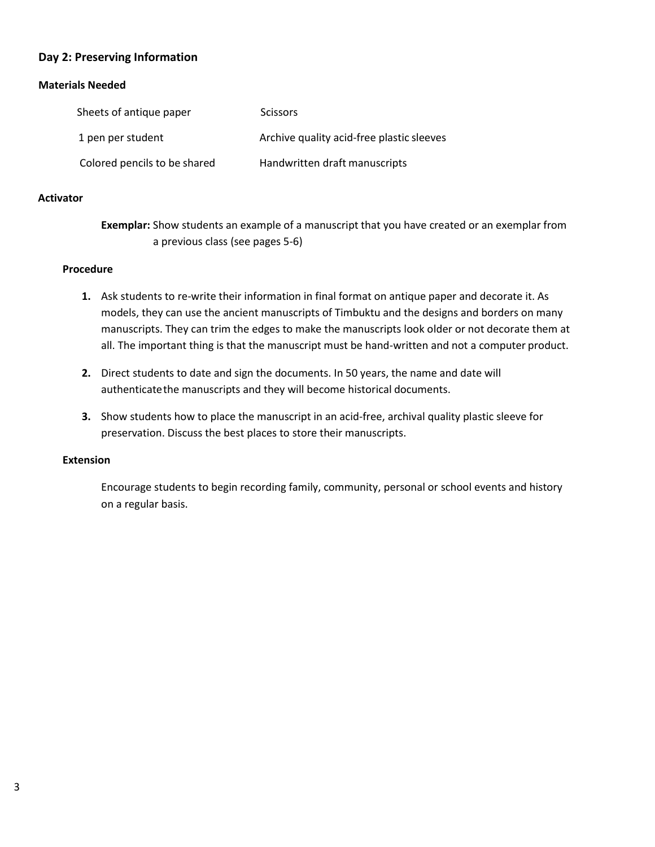# **Day 2: Preserving Information**

## **Materials Needed**

| Sheets of antique paper      | <b>Scissors</b>                           |
|------------------------------|-------------------------------------------|
| 1 pen per student            | Archive quality acid-free plastic sleeves |
| Colored pencils to be shared | Handwritten draft manuscripts             |

## **Activator**

**Exemplar:** Show students an example of a manuscript that you have created or an exemplar from a previous class (see pages 5-6)

### **Procedure**

- **1.** Ask students to re-write their information in final format on antique paper and decorate it. As models, they can use the ancient manuscripts of Timbuktu and the designs and borders on many manuscripts. They can trim the edges to make the manuscripts look older or not decorate them at all. The important thing is that the manuscript must be hand-written and not a computer product.
- **2.** Direct students to date and sign the documents. In 50 years, the name and date will authenticatethe manuscripts and they will become historical documents.
- **3.** Show students how to place the manuscript in an acid-free, archival quality plastic sleeve for preservation. Discuss the best places to store their manuscripts.

## **Extension**

Encourage students to begin recording family, community, personal or school events and history on a regular basis.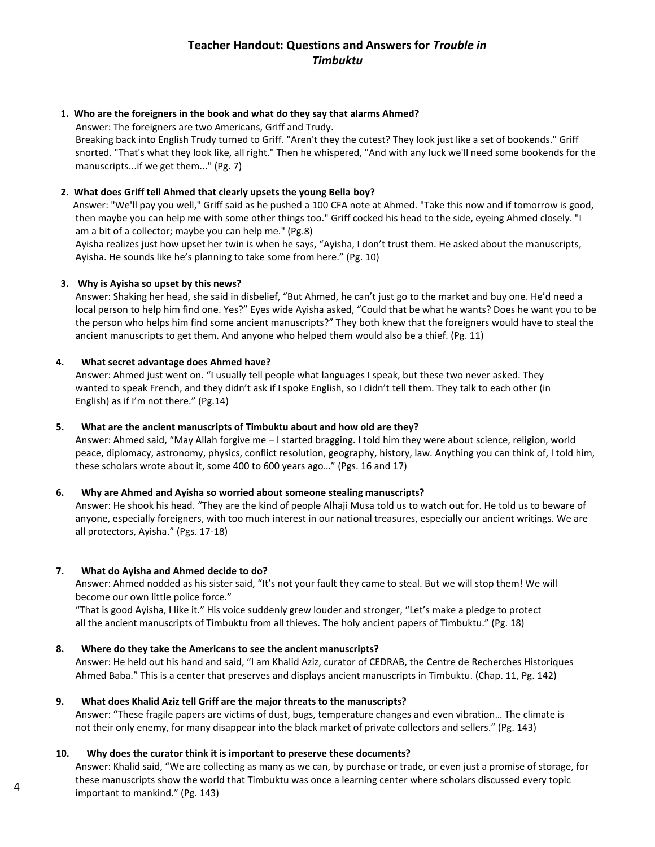# **Teacher Handout: Questions and Answers for** *Trouble in Timbuktu*

### **1. Who are the foreigners in the book and what do they say that alarms Ahmed?**

Answer: The foreigners are two Americans, Griff and Trudy.

Breaking back into English Trudy turned to Griff. "Aren't they the cutest? They look just like a set of bookends." Griff snorted. "That's what they look like, all right." Then he whispered, "And with any luck we'll need some bookends for the manuscripts...if we get them..." (Pg. 7)

### **2. What does Griff tell Ahmed that clearly upsets the young Bella boy?**

Answer: "We'll pay you well," Griff said as he pushed a 100 CFA note at Ahmed. "Take this now and if tomorrow is good, then maybe you can help me with some other things too." Griff cocked his head to the side, eyeing Ahmed closely. "I am a bit of a collector; maybe you can help me." (Pg.8)

Ayisha realizes just how upset her twin is when he says, "Ayisha, I don't trust them. He asked about the manuscripts, Ayisha. He sounds like he's planning to take some from here." (Pg. 10)

#### **3. Why is Ayisha so upset by this news?**

Answer: Shaking her head, she said in disbelief, "But Ahmed, he can't just go to the market and buy one. He'd need a local person to help him find one. Yes?" Eyes wide Ayisha asked, "Could that be what he wants? Does he want you to be the person who helps him find some ancient manuscripts?" They both knew that the foreigners would have to steal the ancient manuscripts to get them. And anyone who helped them would also be a thief. (Pg. 11)

#### **4. What secret advantage does Ahmed have?**

Answer: Ahmed just went on. "I usually tell people what languages I speak, but these two never asked. They wanted to speak French, and they didn't ask if I spoke English, so I didn't tell them. They talk to each other (in English) as if I'm not there." (Pg.14)

### **5. What are the ancient manuscripts of Timbuktu about and how old are they?**

Answer: Ahmed said, "May Allah forgive me – I started bragging. I told him they were about science, religion, world peace, diplomacy, astronomy, physics, conflict resolution, geography, history, law. Anything you can think of, I told him, these scholars wrote about it, some 400 to 600 years ago…" (Pgs. 16 and 17)

### **6. Why are Ahmed and Ayisha so worried about someone stealing manuscripts?**

Answer: He shook his head. "They are the kind of people Alhaji Musa told us to watch out for. He told us to beware of anyone, especially foreigners, with too much interest in our national treasures, especially our ancient writings. We are all protectors, Ayisha." (Pgs. 17-18)

#### **7. What do Ayisha and Ahmed decide to do?**

Answer: Ahmed nodded as his sister said, "It's not your fault they came to steal. But we will stop them! We will become our own little police force."

"That is good Ayisha, I like it." His voice suddenly grew louder and stronger, "Let's make a pledge to protect all the ancient manuscripts of Timbuktu from all thieves. The holy ancient papers of Timbuktu." (Pg. 18)

#### **8. Where do they take the Americans to see the ancient manuscripts?**

Answer: He held out his hand and said, "I am Khalid Aziz, curator of CEDRAB, the Centre de Recherches Historiques Ahmed Baba." This is a center that preserves and displays ancient manuscripts in Timbuktu. (Chap. 11, Pg. 142)

#### **9. What does Khalid Aziz tell Griff are the major threats to the manuscripts?**

Answer: "These fragile papers are victims of dust, bugs, temperature changes and even vibration… The climate is not their only enemy, for many disappear into the black market of private collectors and sellers." (Pg. 143)

#### **10. Why does the curator think it is important to preserve these documents?**

Answer: Khalid said, "We are collecting as many as we can, by purchase or trade, or even just a promise of storage, for these manuscripts show the world that Timbuktu was once a learning center where scholars discussed every topic important to mankind." (Pg. 143)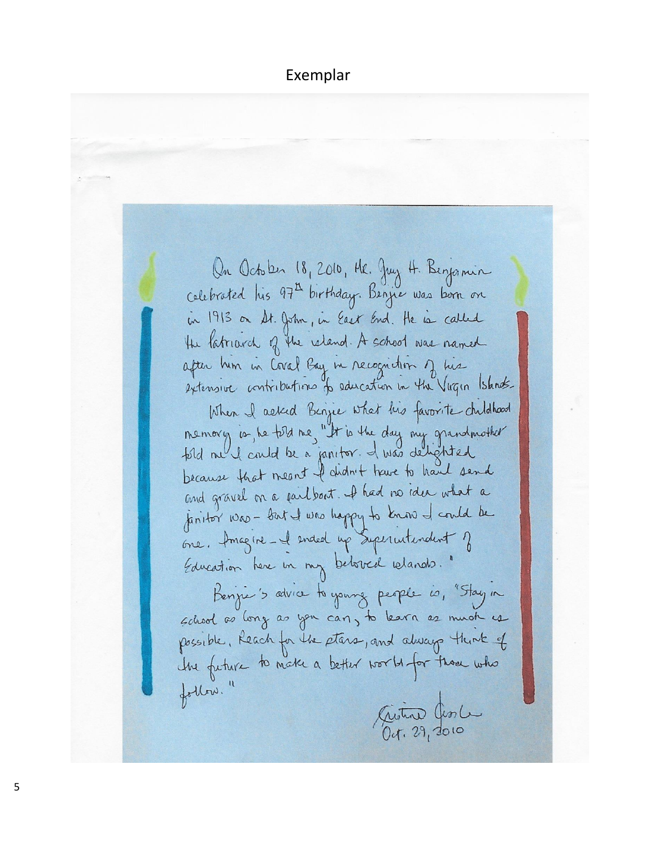On October 18, 2010, Hr. Juy H. Berjamin celebrated his 97<sup>th</sup> birthday. Benjie was born on in 1913 on St. John, in East End. He is called the latriarch of the island. A school was named after him in Coval Bay in recognition of his extensive contributions to education in the Virgin Islands. When I asked Benjie what his favorite childhood memory is , he told me, "It is the day my grandmother" fold ne I could be a janitor. I was delighted because that meant I didn't true to have sand and gravel on a failbant. I had no idea what a janitor was - but I was happy to know I could be one. Amagine-el ended up Superintendent of Education here in my between idends." Benjie's advice to young people is, "Stay in school as long as you can, to learn as much is possible, Reach for the stars, and always think of the future to make a better world for those who follow." Giston Ceste